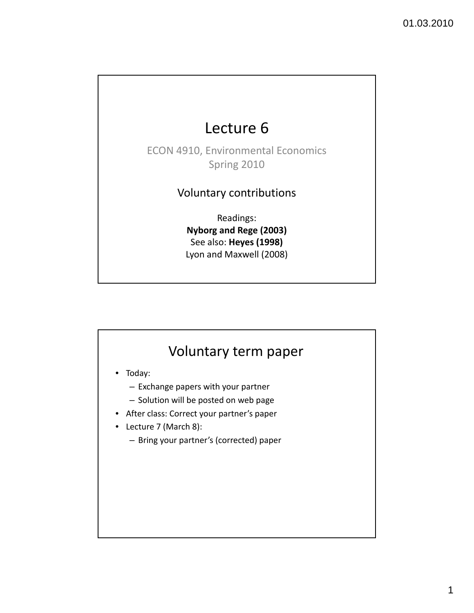# Lecture 6

ECON 4910, Environmental Economics Spring 2010

#### Voluntary contributions

Readings: **Nyborg and Rege (2003)** See also: **Heyes (1998)** Lyon and Maxwell (2008)

## Voluntary term paper

- Today:
	- Exchange papers with your partner
	- Solution will be posted on web page
- After class: Correct your partner's paper
- Lecture 7 (March 8):
	- Bring your partner's (corrected) paper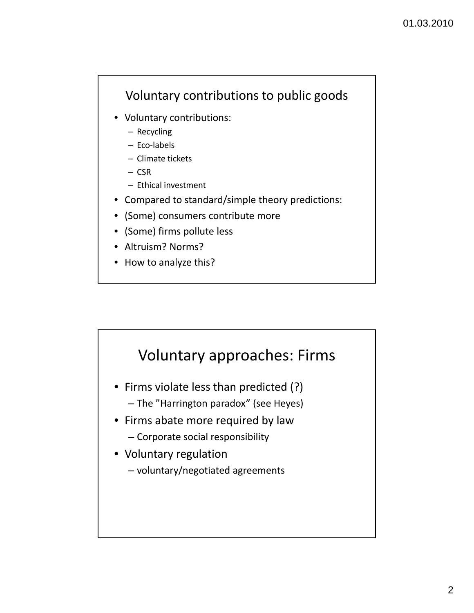## Voluntary contributions to public goods

- Voluntary contributions:
	- Recycling
	- Eco‐labels
	- Climate tickets
	- CSR
	- Ethical investment
- Compared to standard/simple theory predictions:
- (Some) consumers contribute more
- (Some) firms pollute less
- Altruism? Norms?
- How to analyze this?



- Firms violate less than predicted (?)
	- The "Harrington paradox" (see Heyes)
- Firms abate more required by law
	- Corporate social responsibility
- Voluntary regulation
	- $-$  voluntary/negotiated agreements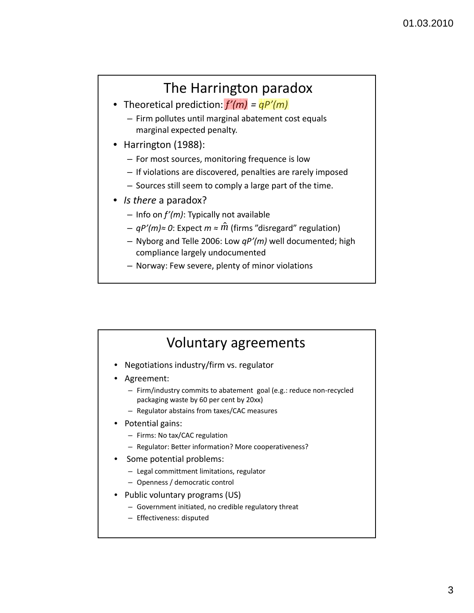## The Harrington paradox

- Theoretical prediction: *f'(m) = qP'(m)*
	- Firm pollutes until marginal abatement cost equals marginal expected penalty.
- Harrington (1988):
	- For most sources, monitoring frequence is low
	- If violations are discovered, penalties are rarely imposed
	- Sources still seem to comply a large part of the time.
- *Is there* a paradox?
	- Info on *f (m) '* : Typically not available
	- *qP'(m)≈ 0*: Expect *m ≈* (firms "disregard" regulation) *m*ˆ
	- Nyborg and Telle 2006: Low *qP'(m)* well documented; high compliance largely undocumented
	- Norway: Few severe, plenty of minor violations

### Voluntary agreements

- Negotiations industry/firm vs. regulator
- Agreement:
	- Firm/industry commits to abatement goal (e.g.: reduce non‐recycled packaging waste by 60 per cent by 20xx)
	- Regulator abstains from taxes/CAC measures
- Potential gains:
	- Firms: No tax/CAC regulation
	- Regulator: Better information? More cooperativeness?
- Some potential problems:
	- Legal committment limitations, regulator
	- Openness / democratic control
- Public voluntary programs (US)
	- Government initiated, no credible regulatory threat
	- Effectiveness: disputed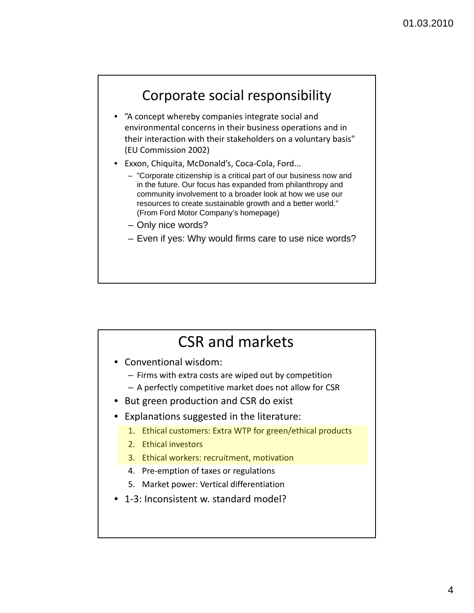### Corporate social responsibility

- "A concept whereby companies integrate social and environmental concerns in their business operations and in their interaction with their stakeholders on a voluntary basis" (EU Commission 2002)
- Exxon, Chiquita, McDonald's, Coca‐Cola, Ford...
	- "Corporate citizenship is a critical part of our business now and in the future. Our focus has expanded from philanthropy and community involvement to a broader look at how we use our resources to create sustainable growth and a better world." (From Ford Motor Company's homepage)
	- Only nice words?
	- Even if yes: Why would firms care to use nice words?

# CSR and markets

- Conventional wisdom:
	- Firms with extra costs are wiped out by competition
	- A perfectly competitive market does not allow for CSR
- But green production and CSR do exist
- Explanations suggested in the literature:
	- 1. Ethical customers: Extra WTP for green/ethical products
	- 2. Ethical investors
	- 3. Ethical workers: recruitment, motivation
	- 4. Pre-emption of taxes or regulations
	- 5. Market power: Vertical differentiation
- 1-3: Inconsistent w. standard model?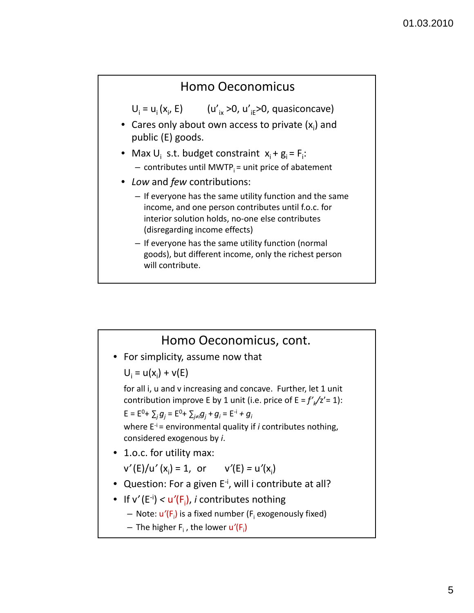#### Homo Oeconomicus

 $U_i = u_i (x_i, E)$  $(u'_{ix} > 0, u'_{ie} > 0,$  quasiconcave)

- Cares only about own access to private  $(x_i)$  and public (E) goods.
- Max  $U_i$  s.t. budget constraint  $x_i + g_i = F_i$ :  $-$  contributes until MWTP<sub>i</sub> = unit price of abatement
- *Low* and *few* contributions:
	- If everyone has the same utility function and the same income, and one person contributes until f.o.c. for interior solution holds, no‐one else contributes (disregarding income effects)
	- If everyone has the same utility function (normal goods), but different income, only the richest person will contribute.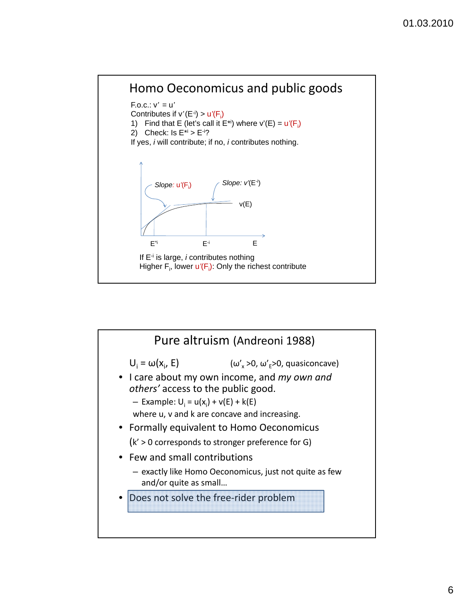

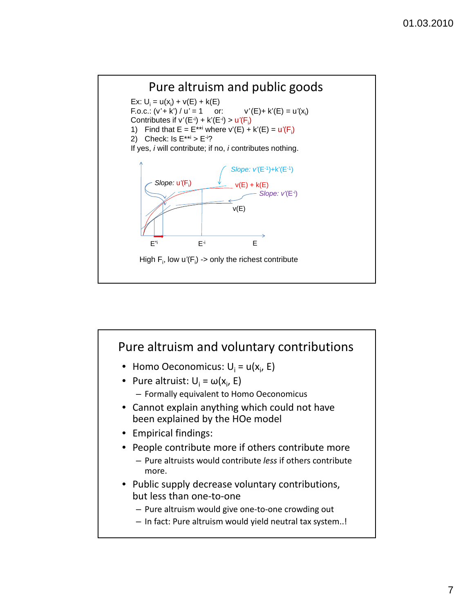

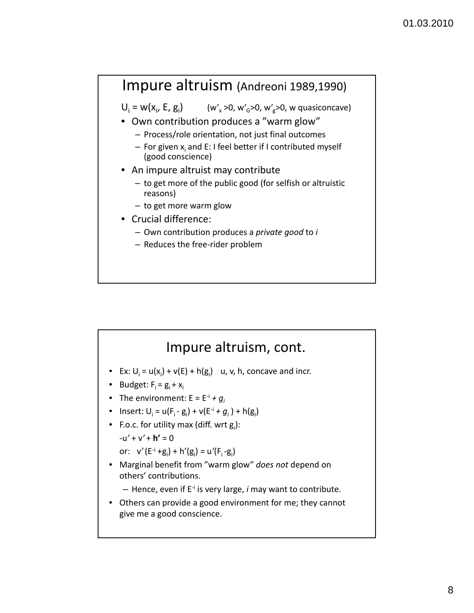### Impure altruism (Andreoni 1989,1990)

 $U_i = w(x_i, E, g_i)$  $(w'_x > 0, w'_c > 0, w'_y > 0, w$  quasiconcave)

- Own contribution produces a "warm glow"
	- Process/role orientation, not just final outcomes
	- For given  $x_i$  and E: I feel better if I contributed myself (good conscience)
- An impure altruist may contribute
	- to get more of the public good (for selfish or altruistic reasons)
	- to get more warm glow
- Crucial difference:
	- Own contribution produces a *private good* to *i*
	- Reduces the free‐rider problem

#### Impure altruism, cont.

- Ex:  $U_i = u(x_i) + v(E) + h(g_i)$  u, v, h, concave and incr.
- Budget:  $F_i = g_i + x_i$
- The environment:  $E = E^{-i} + g_i$
- Insert:  $U_i = u(F_i g_i) + v(E^{-i} + g_i) + h(g_i)$
- F.o.c. for utility max (diff. wrt  $g_i$ ):
	- $-u' + v' + h' = 0$

or:  $v'(E^{-i} + g_i) + h'(g_i) = u'(F_i - g_i)$ 

- Marginal benefit from "warm glow" *does not* depend on others' contributions.
	- Hence, even if E‐<sup>i</sup> is very large, *i* may want to contribute.
- Others can provide a good environment for me; they cannot give me a good conscience.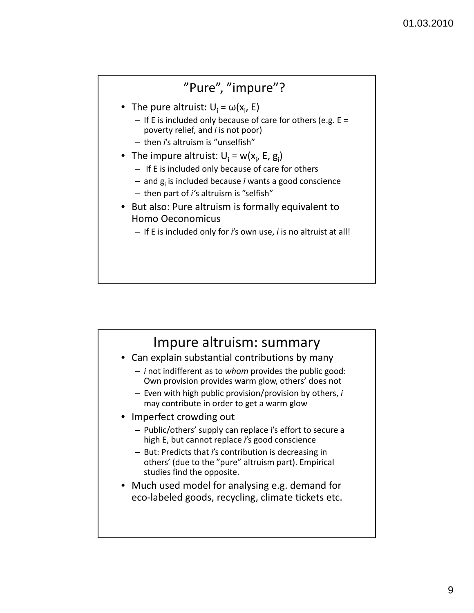### "Pure", "impure"?

- The pure altruist:  $U_i = \omega(x_i, E)$ 
	- $-$  If E is included only because of care for others (e.g.  $E =$ poverty relief, and *i* is not poor)
	- then *i's* altruism is "unselfish"
- The impure altruist:  $U_i = w(x_i, E, g_i)$ 
	- If E is included only because of care for others
	- and gi is included because *i* wants a good conscience
	- then part of *i'*s altruism is "selfish"
- But also: Pure altruism is formally equivalent to Homo Oeconomicus
	- If E is included only for *i*'s own use, *i* is no altruist at all!

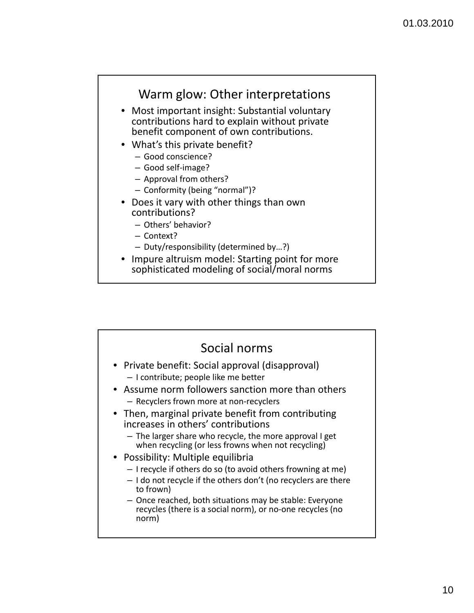

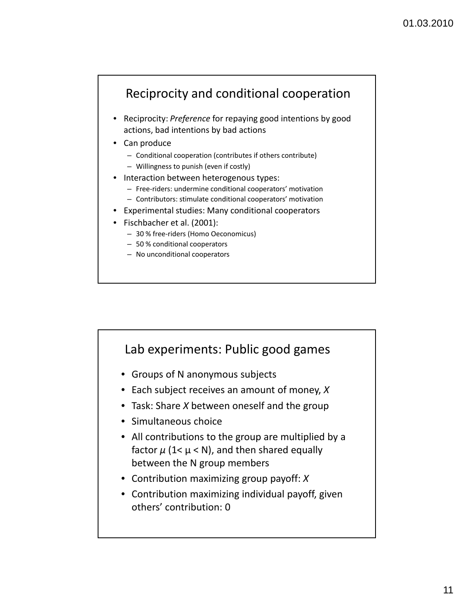### Reciprocity and conditional cooperation

- Reciprocity: *Preference* for repaying good intentions by good actions, bad intentions by bad actions
- Can produce
	- Conditional cooperation (contributes if others contribute)
	- Willingness to punish (even if costly)
- Interaction between heterogenous types:
	- Free‐riders: undermine conditional cooperators' motivation
	- Contributors: stimulate conditional cooperators' motivation
- Experimental studies: Many conditional cooperators
- Fischbacher et al. (2001):
	- 30 % free‐riders (Homo Oeconomicus)
	- 50 % conditional cooperators
	- No unconditional cooperators



others' contribution: 0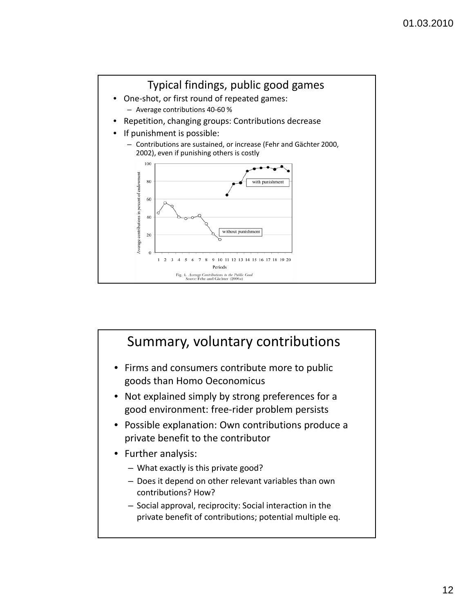